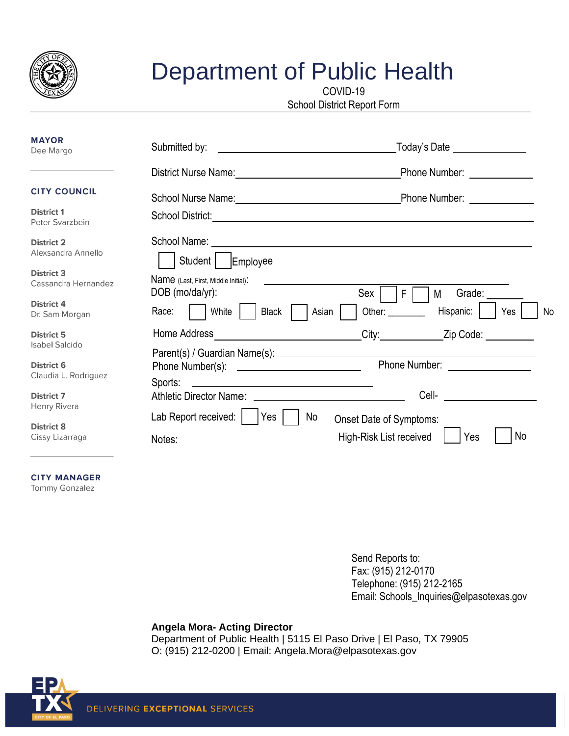

## Department of Public Health

COVID-19

School District Report Form

| <b>MAYOR</b><br>Dee Margo                  | Submitted by:                                                                                                                   | Today's Date ________________<br>the contract of the contract of the contract of the contract of the contract of<br>Phone Number: ______________<br>Phone Number: National Contract of Phone Number |  |  |  |
|--------------------------------------------|---------------------------------------------------------------------------------------------------------------------------------|-----------------------------------------------------------------------------------------------------------------------------------------------------------------------------------------------------|--|--|--|
|                                            | District Nurse Name: 1997                                                                                                       |                                                                                                                                                                                                     |  |  |  |
| <b>CITY COUNCIL</b>                        | School Nurse Name: Manneled and Management Control of School Nurse Name: Management Andrews                                     |                                                                                                                                                                                                     |  |  |  |
| <b>District 1</b><br>Peter Svarzbein       |                                                                                                                                 |                                                                                                                                                                                                     |  |  |  |
| <b>District 2</b><br>Alexsandra Annello    | Student<br>Employee                                                                                                             |                                                                                                                                                                                                     |  |  |  |
| <b>District 3</b><br>Cassandra Hernandez   | Name (Last, First, Middle Initial).<br>DOB (mo/da/yr):                                                                          | Sex '<br>$\mathsf{F}$<br>Grade:<br>M                                                                                                                                                                |  |  |  |
| District 4<br>Dr. Sam Morgan               | Race:<br>White<br><b>Black</b>                                                                                                  | Hispanic:<br>Other: ________<br>Asian<br>Yes<br>No                                                                                                                                                  |  |  |  |
| <b>District 5</b><br><b>Isabel Salcido</b> | Home Address                                                                                                                    | City:<br>Zip Code: _________                                                                                                                                                                        |  |  |  |
| <b>District 6</b><br>Claudia L. Rodriguez  | Sports:<br><u> Alexandria de la contrada de la contrada de la contrada de la contrada de la contrada de la contrada de la c</u> | Phone Number: New York 1999                                                                                                                                                                         |  |  |  |
| <b>District 7</b><br>Henry Rivera          | Athletic Director Name: Athletic Director Name:                                                                                 | <b>Cell- Cell Cell Cell Cell Cell Cell Cell Cell Cell Cell Cell Cell Cell Cell Cell Cell Cell Cell Cell Cell Cell Cell Cell Cell Cell Cell Cell Cell Cell Cell Cel</b>                              |  |  |  |
| <b>District 8</b><br>Cissy Lizarraga       | Lab Report received:<br>  Yes<br>Notes:                                                                                         | No<br>Onset Date of Symptoms:<br>No<br>High-Risk List received<br>Yes                                                                                                                               |  |  |  |

**CITY MANAGER** Tommy Gonzalez

> Send Reports to: Fax: (915) 212-0170 Telephone: (915) 212-2165 Email: Schools\_Inquiries@elpasotexas.gov

## **Angela Mora- Acting Director**

Department of Public Health | 5115 El Paso Drive | El Paso, TX 79905 O: (915) 212-0200 | Email: [Angela.Mora@elpasotexas.gov](mailto:Angela.Mora@elpasotexas.gov)